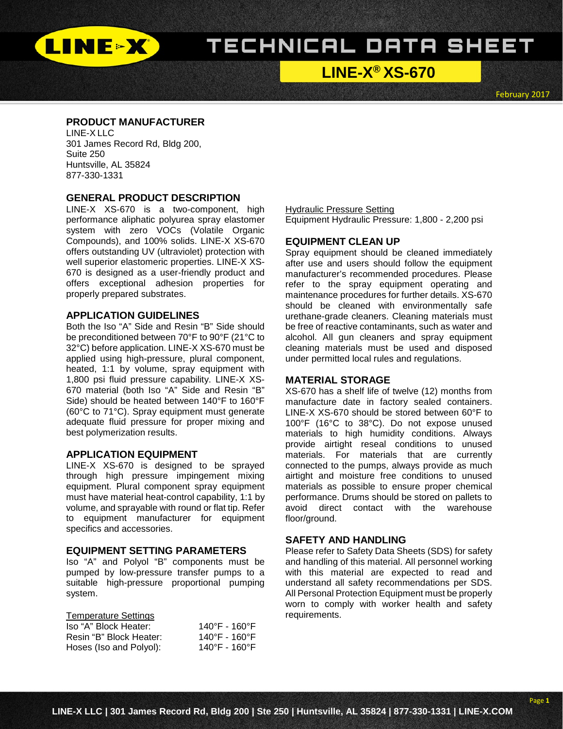

# TECHNICAL DATA SHEET

**LINE-X® XS-670**

February 2017

# **PRODUCT MANUFACTURER**

LINE-X LLC 301 James Record Rd, Bldg 200, Suite 250 Huntsville, AL 35824 877-330-1331

# **GENERAL PRODUCT DESCRIPTION**

LINE-X XS-670 is a two-component, high performance aliphatic polyurea spray elastomer system with zero VOCs (Volatile Organic Compounds), and 100% solids. LINE-X XS-670 offers outstanding UV (ultraviolet) protection with well superior elastomeric properties. LINE-X XS-670 is designed as a user-friendly product and offers exceptional adhesion properties for properly prepared substrates.

## **APPLICATION GUIDELINES**

Both the Iso "A" Side and Resin "B" Side should be preconditioned between 70°F to 90°F (21°C to 32°C) before application. LINE-X XS-670 must be applied using high-pressure, plural component, heated, 1:1 by volume, spray equipment with 1,800 psi fluid pressure capability. LINE-X XS-670 material (both Iso "A" Side and Resin "B" Side) should be heated between 140°F to 160°F (60°C to 71°C). Spray equipment must generate adequate fluid pressure for proper mixing and best polymerization results.

### **APPLICATION EQUIPMENT**

LINE-X XS-670 is designed to be sprayed through high pressure impingement mixing equipment. Plural component spray equipment must have material heat-control capability, 1:1 by volume, and sprayable with round or flat tip. Refer to equipment manufacturer for equipment specifics and accessories.

#### **EQUIPMENT SETTING PARAMETERS**

Iso "A" and Polyol "B" components must be pumped by low-pressure transfer pumps to a suitable high-pressure proportional pumping system.

## Temperature Settings

| Iso "A" Block Heater:   | 140°F - 160°F |
|-------------------------|---------------|
| Resin "B" Block Heater: | 140°F - 160°F |
| Hoses (Iso and Polyol): | 140°F - 160°F |

Hydraulic Pressure Setting Equipment Hydraulic Pressure: 1,800 - 2,200 psi

#### **EQUIPMENT CLEAN UP**

Spray equipment should be cleaned immediately after use and users should follow the equipment manufacturer's recommended procedures. Please refer to the spray equipment operating and maintenance procedures for further details. XS-670 should be cleaned with environmentally safe urethane-grade cleaners. Cleaning materials must be free of reactive contaminants, such as water and alcohol. All gun cleaners and spray equipment cleaning materials must be used and disposed under permitted local rules and regulations.

#### **MATERIAL STORAGE**

XS-670 has a shelf life of twelve (12) months from manufacture date in factory sealed containers. LINE-X XS-670 should be stored between 60°F to 100°F (16°C to 38°C). Do not expose unused materials to high humidity conditions. Always provide airtight reseal conditions to unused materials. For materials that are currently connected to the pumps, always provide as much airtight and moisture free conditions to unused materials as possible to ensure proper chemical performance. Drums should be stored on pallets to avoid direct contact with the warehouse floor/ground.

#### **SAFETY AND HANDLING**

Please refer to Safety Data Sheets (SDS) for safety and handling of this material. All personnel working with this material are expected to read and understand all safety recommendations per SDS. All Personal Protection Equipment must be properly worn to comply with worker health and safety requirements.

Page **1**